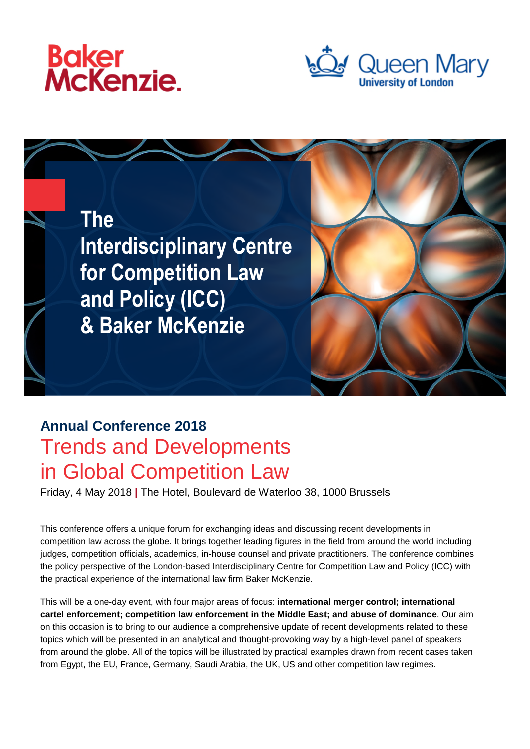





## **Annual Conference 2018** Trends and Developments in Global Competition Law

Friday, 4 May 2018 **|** The Hotel, Boulevard de Waterloo 38, 1000 Brussels

This conference offers a unique forum for exchanging ideas and discussing recent developments in competition law across the globe. It brings together leading figures in the field from around the world including judges, competition officials, academics, in-house counsel and private practitioners. The conference combines the policy perspective of the London-based Interdisciplinary Centre for Competition Law and Policy (ICC) with the practical experience of the international law firm Baker McKenzie.

This will be a one-day event, with four major areas of focus: **international merger control; international cartel enforcement; competition law enforcement in the Middle East; and abuse of dominance**. Our aim on this occasion is to bring to our audience a comprehensive update of recent developments related to these topics which will be presented in an analytical and thought-provoking way by a high-level panel of speakers from around the globe. All of the topics will be illustrated by practical examples drawn from recent cases taken from Egypt, the EU, France, Germany, Saudi Arabia, the UK, US and other competition law regimes.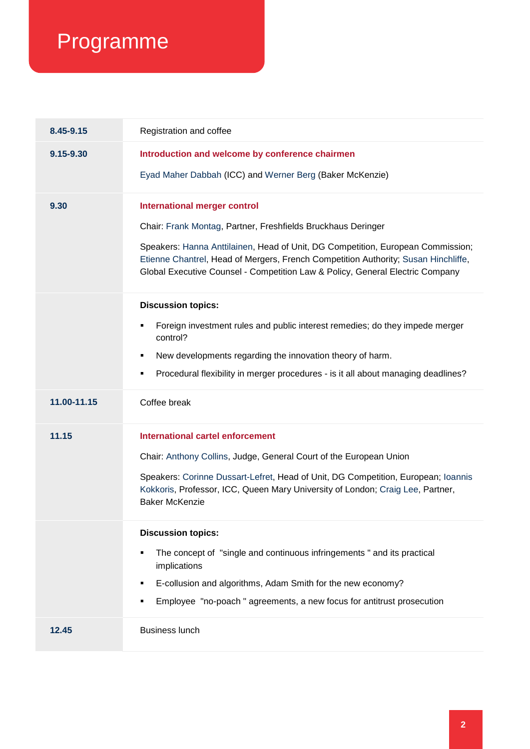## Programme

| 8.45-9.15   | Registration and coffee                                                                                                                                                                                                                                |
|-------------|--------------------------------------------------------------------------------------------------------------------------------------------------------------------------------------------------------------------------------------------------------|
| 9.15-9.30   | Introduction and welcome by conference chairmen                                                                                                                                                                                                        |
|             | Eyad Maher Dabbah (ICC) and Werner Berg (Baker McKenzie)                                                                                                                                                                                               |
| 9.30        | <b>International merger control</b>                                                                                                                                                                                                                    |
|             | Chair: Frank Montag, Partner, Freshfields Bruckhaus Deringer                                                                                                                                                                                           |
|             | Speakers: Hanna Anttilainen, Head of Unit, DG Competition, European Commission;<br>Etienne Chantrel, Head of Mergers, French Competition Authority; Susan Hinchliffe,<br>Global Executive Counsel - Competition Law & Policy, General Electric Company |
|             | <b>Discussion topics:</b>                                                                                                                                                                                                                              |
|             | Foreign investment rules and public interest remedies; do they impede merger<br>control?                                                                                                                                                               |
|             | New developments regarding the innovation theory of harm.<br>٠                                                                                                                                                                                         |
|             | Procedural flexibility in merger procedures - is it all about managing deadlines?<br>٠                                                                                                                                                                 |
|             |                                                                                                                                                                                                                                                        |
| 11.00-11.15 | Coffee break                                                                                                                                                                                                                                           |
| 11.15       | <b>International cartel enforcement</b>                                                                                                                                                                                                                |
|             | Chair: Anthony Collins, Judge, General Court of the European Union                                                                                                                                                                                     |
|             | Speakers: Corinne Dussart-Lefret, Head of Unit, DG Competition, European; Ioannis<br>Kokkoris, Professor, ICC, Queen Mary University of London; Craig Lee, Partner,<br><b>Baker McKenzie</b>                                                           |
|             | <b>Discussion topics:</b>                                                                                                                                                                                                                              |
|             | The concept of "single and continuous infringements" and its practical<br>implications                                                                                                                                                                 |
|             | E-collusion and algorithms, Adam Smith for the new economy?<br>٠                                                                                                                                                                                       |
|             | Employee "no-poach" agreements, a new focus for antitrust prosecution<br>٠                                                                                                                                                                             |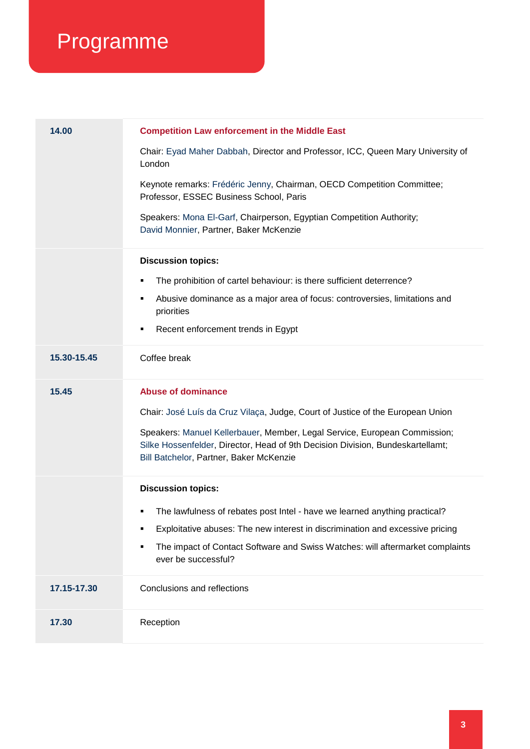## Programme

| Chair: Eyad Maher Dabbah, Director and Professor, ICC, Queen Mary University of<br>London                                                                                                              |  |
|--------------------------------------------------------------------------------------------------------------------------------------------------------------------------------------------------------|--|
| Keynote remarks: Frédéric Jenny, Chairman, OECD Competition Committee;<br>Professor, ESSEC Business School, Paris                                                                                      |  |
| Speakers: Mona El-Garf, Chairperson, Egyptian Competition Authority;<br>David Monnier, Partner, Baker McKenzie                                                                                         |  |
| <b>Discussion topics:</b>                                                                                                                                                                              |  |
| The prohibition of cartel behaviour: is there sufficient deterrence?                                                                                                                                   |  |
| Abusive dominance as a major area of focus: controversies, limitations and<br>٠<br>priorities                                                                                                          |  |
| Recent enforcement trends in Egypt<br>٠                                                                                                                                                                |  |
| Coffee break<br>15.30-15.45                                                                                                                                                                            |  |
| <b>Abuse of dominance</b><br>15.45                                                                                                                                                                     |  |
| Chair: José Luís da Cruz Vilaça, Judge, Court of Justice of the European Union                                                                                                                         |  |
| Speakers: Manuel Kellerbauer, Member, Legal Service, European Commission;<br>Silke Hossenfelder, Director, Head of 9th Decision Division, Bundeskartellamt;<br>Bill Batchelor, Partner, Baker McKenzie |  |
| <b>Discussion topics:</b>                                                                                                                                                                              |  |
| The lawfulness of rebates post Intel - have we learned anything practical?                                                                                                                             |  |
| Exploitative abuses: The new interest in discrimination and excessive pricing<br>٠                                                                                                                     |  |
| The impact of Contact Software and Swiss Watches: will aftermarket complaints<br>٠<br>ever be successful?                                                                                              |  |
| 17.15-17.30<br>Conclusions and reflections                                                                                                                                                             |  |
| Reception<br>17.30                                                                                                                                                                                     |  |